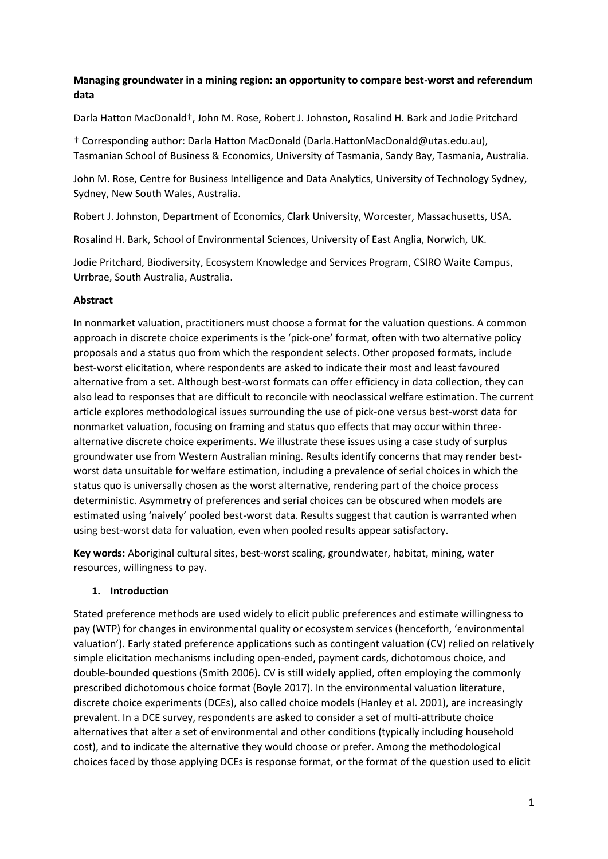# **Managing groundwater in a mining region: an opportunity to compare best-worst and referendum data**

Darla Hatton MacDonald†, John M. Rose, Robert J. Johnston, Rosalind H. Bark and Jodie Pritchard

† Corresponding author: Darla Hatton MacDonald (Darla.HattonMacDonald@utas.edu.au), Tasmanian School of Business & Economics, University of Tasmania, Sandy Bay, Tasmania, Australia.

John M. Rose, Centre for Business Intelligence and Data Analytics, University of Technology Sydney, Sydney, New South Wales, Australia.

Robert J. Johnston, Department of Economics, Clark University, Worcester, Massachusetts, USA.

Rosalind H. Bark, School of Environmental Sciences, University of East Anglia, Norwich, UK.

Jodie Pritchard, Biodiversity, Ecosystem Knowledge and Services Program, CSIRO Waite Campus, Urrbrae, South Australia, Australia.

## **Abstract**

In nonmarket valuation, practitioners must choose a format for the valuation questions. A common approach in discrete choice experiments is the 'pick-one' format, often with two alternative policy proposals and a status quo from which the respondent selects. Other proposed formats, include best-worst elicitation, where respondents are asked to indicate their most and least favoured alternative from a set. Although best-worst formats can offer efficiency in data collection, they can also lead to responses that are difficult to reconcile with neoclassical welfare estimation. The current article explores methodological issues surrounding the use of pick-one versus best-worst data for nonmarket valuation, focusing on framing and status quo effects that may occur within threealternative discrete choice experiments. We illustrate these issues using a case study of surplus groundwater use from Western Australian mining. Results identify concerns that may render bestworst data unsuitable for welfare estimation, including a prevalence of serial choices in which the status quo is universally chosen as the worst alternative, rendering part of the choice process deterministic. Asymmetry of preferences and serial choices can be obscured when models are estimated using 'naively' pooled best-worst data. Results suggest that caution is warranted when using best-worst data for valuation, even when pooled results appear satisfactory.

**Key words:** Aboriginal cultural sites, best-worst scaling, groundwater, habitat, mining, water resources, willingness to pay.

# **1. Introduction**

Stated preference methods are used widely to elicit public preferences and estimate willingness to pay (WTP) for changes in environmental quality or ecosystem services (henceforth, 'environmental valuation'). Early stated preference applications such as contingent valuation (CV) relied on relatively simple elicitation mechanisms including open-ended, payment cards, dichotomous choice, and double-bounded questions (Smith 2006). CV is still widely applied, often employing the commonly prescribed dichotomous choice format (Boyle 2017). In the environmental valuation literature, discrete choice experiments (DCEs), also called choice models (Hanley et al. 2001), are increasingly prevalent. In a DCE survey, respondents are asked to consider a set of multi-attribute choice alternatives that alter a set of environmental and other conditions (typically including household cost), and to indicate the alternative they would choose or prefer. Among the methodological choices faced by those applying DCEs is response format, or the format of the question used to elicit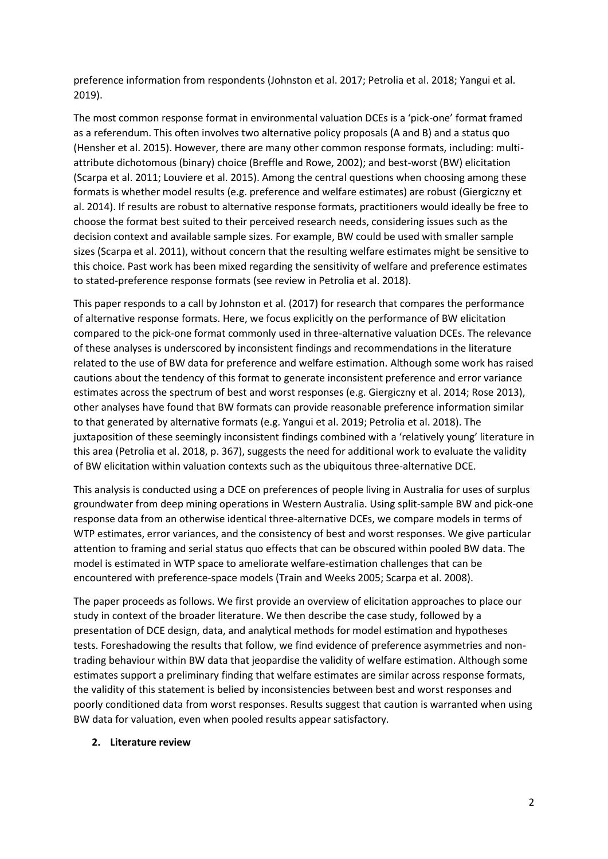preference information from respondents (Johnston et al. 2017; Petrolia et al. 2018; Yangui et al. 2019).

The most common response format in environmental valuation DCEs is a 'pick-one' format framed as a referendum. This often involves two alternative policy proposals (A and B) and a status quo (Hensher et al. 2015). However, there are many other common response formats, including: multiattribute dichotomous (binary) choice (Breffle and Rowe, 2002); and best-worst (BW) elicitation (Scarpa et al. 2011; Louviere et al. 2015). Among the central questions when choosing among these formats is whether model results (e.g. preference and welfare estimates) are robust (Giergiczny et al. 2014). If results are robust to alternative response formats, practitioners would ideally be free to choose the format best suited to their perceived research needs, considering issues such as the decision context and available sample sizes. For example, BW could be used with smaller sample sizes (Scarpa et al. 2011), without concern that the resulting welfare estimates might be sensitive to this choice. Past work has been mixed regarding the sensitivity of welfare and preference estimates to stated-preference response formats (see review in Petrolia et al. 2018).

This paper responds to a call by Johnston et al. (2017) for research that compares the performance of alternative response formats. Here, we focus explicitly on the performance of BW elicitation compared to the pick-one format commonly used in three-alternative valuation DCEs. The relevance of these analyses is underscored by inconsistent findings and recommendations in the literature related to the use of BW data for preference and welfare estimation. Although some work has raised cautions about the tendency of this format to generate inconsistent preference and error variance estimates across the spectrum of best and worst responses (e.g. Giergiczny et al. 2014; Rose 2013), other analyses have found that BW formats can provide reasonable preference information similar to that generated by alternative formats (e.g. Yangui et al. 2019; Petrolia et al. 2018). The juxtaposition of these seemingly inconsistent findings combined with a 'relatively young' literature in this area (Petrolia et al. 2018, p. 367), suggests the need for additional work to evaluate the validity of BW elicitation within valuation contexts such as the ubiquitous three-alternative DCE.

This analysis is conducted using a DCE on preferences of people living in Australia for uses of surplus groundwater from deep mining operations in Western Australia. Using split-sample BW and pick-one response data from an otherwise identical three-alternative DCEs, we compare models in terms of WTP estimates, error variances, and the consistency of best and worst responses. We give particular attention to framing and serial status quo effects that can be obscured within pooled BW data. The model is estimated in WTP space to ameliorate welfare-estimation challenges that can be encountered with preference-space models (Train and Weeks 2005; Scarpa et al. 2008).

The paper proceeds as follows. We first provide an overview of elicitation approaches to place our study in context of the broader literature. We then describe the case study, followed by a presentation of DCE design, data, and analytical methods for model estimation and hypotheses tests. Foreshadowing the results that follow, we find evidence of preference asymmetries and nontrading behaviour within BW data that jeopardise the validity of welfare estimation. Although some estimates support a preliminary finding that welfare estimates are similar across response formats, the validity of this statement is belied by inconsistencies between best and worst responses and poorly conditioned data from worst responses. Results suggest that caution is warranted when using BW data for valuation, even when pooled results appear satisfactory.

## **2. Literature review**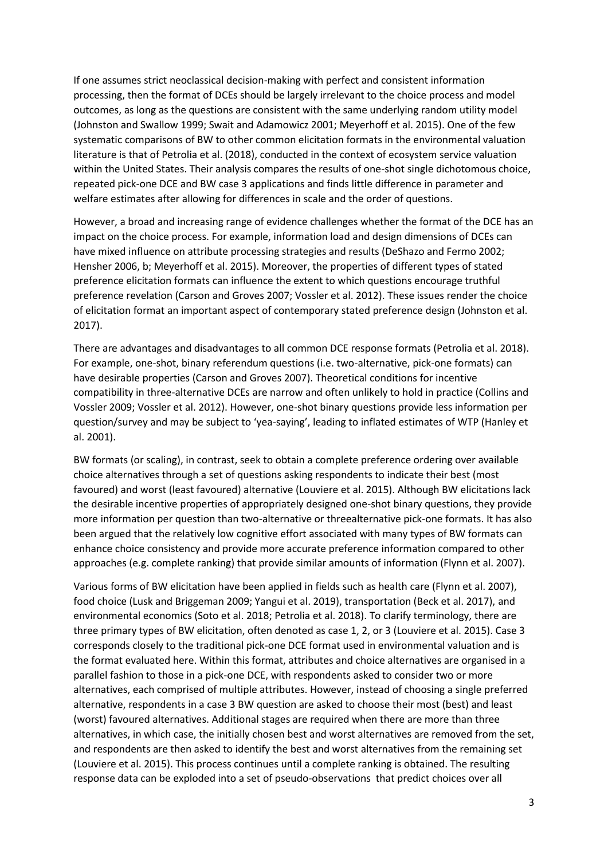If one assumes strict neoclassical decision-making with perfect and consistent information processing, then the format of DCEs should be largely irrelevant to the choice process and model outcomes, as long as the questions are consistent with the same underlying random utility model (Johnston and Swallow 1999; Swait and Adamowicz 2001; Meyerhoff et al. 2015). One of the few systematic comparisons of BW to other common elicitation formats in the environmental valuation literature is that of Petrolia et al. (2018), conducted in the context of ecosystem service valuation within the United States. Their analysis compares the results of one-shot single dichotomous choice, repeated pick-one DCE and BW case 3 applications and finds little difference in parameter and welfare estimates after allowing for differences in scale and the order of questions.

However, a broad and increasing range of evidence challenges whether the format of the DCE has an impact on the choice process. For example, information load and design dimensions of DCEs can have mixed influence on attribute processing strategies and results (DeShazo and Fermo 2002; Hensher 2006, b; Meyerhoff et al. 2015). Moreover, the properties of different types of stated preference elicitation formats can influence the extent to which questions encourage truthful preference revelation (Carson and Groves 2007; Vossler et al. 2012). These issues render the choice of elicitation format an important aspect of contemporary stated preference design (Johnston et al. 2017).

There are advantages and disadvantages to all common DCE response formats (Petrolia et al. 2018). For example, one-shot, binary referendum questions (i.e. two-alternative, pick-one formats) can have desirable properties (Carson and Groves 2007). Theoretical conditions for incentive compatibility in three-alternative DCEs are narrow and often unlikely to hold in practice (Collins and Vossler 2009; Vossler et al. 2012). However, one-shot binary questions provide less information per question/survey and may be subject to 'yea-saying', leading to inflated estimates of WTP (Hanley et al. 2001).

BW formats (or scaling), in contrast, seek to obtain a complete preference ordering over available choice alternatives through a set of questions asking respondents to indicate their best (most favoured) and worst (least favoured) alternative (Louviere et al. 2015). Although BW elicitations lack the desirable incentive properties of appropriately designed one-shot binary questions, they provide more information per question than two-alternative or threealternative pick-one formats. It has also been argued that the relatively low cognitive effort associated with many types of BW formats can enhance choice consistency and provide more accurate preference information compared to other approaches (e.g. complete ranking) that provide similar amounts of information (Flynn et al. 2007).

Various forms of BW elicitation have been applied in fields such as health care (Flynn et al. 2007), food choice (Lusk and Briggeman 2009; Yangui et al. 2019), transportation (Beck et al. 2017), and environmental economics (Soto et al. 2018; Petrolia et al. 2018). To clarify terminology, there are three primary types of BW elicitation, often denoted as case 1, 2, or 3 (Louviere et al. 2015). Case 3 corresponds closely to the traditional pick-one DCE format used in environmental valuation and is the format evaluated here. Within this format, attributes and choice alternatives are organised in a parallel fashion to those in a pick-one DCE, with respondents asked to consider two or more alternatives, each comprised of multiple attributes. However, instead of choosing a single preferred alternative, respondents in a case 3 BW question are asked to choose their most (best) and least (worst) favoured alternatives. Additional stages are required when there are more than three alternatives, in which case, the initially chosen best and worst alternatives are removed from the set, and respondents are then asked to identify the best and worst alternatives from the remaining set (Louviere et al. 2015). This process continues until a complete ranking is obtained. The resulting response data can be exploded into a set of pseudo-observations that predict choices over all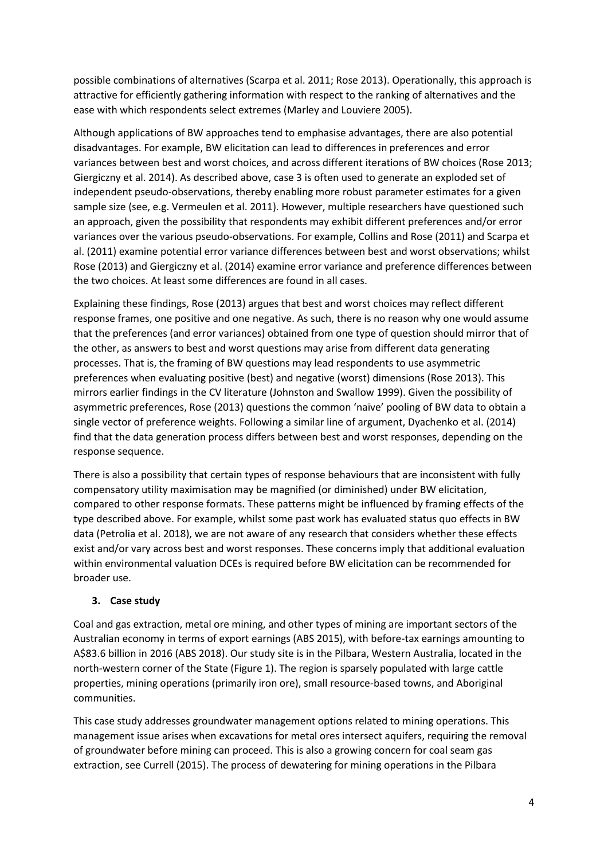possible combinations of alternatives (Scarpa et al. 2011; Rose 2013). Operationally, this approach is attractive for efficiently gathering information with respect to the ranking of alternatives and the ease with which respondents select extremes (Marley and Louviere 2005).

Although applications of BW approaches tend to emphasise advantages, there are also potential disadvantages. For example, BW elicitation can lead to differences in preferences and error variances between best and worst choices, and across different iterations of BW choices (Rose 2013; Giergiczny et al. 2014). As described above, case 3 is often used to generate an exploded set of independent pseudo-observations, thereby enabling more robust parameter estimates for a given sample size (see, e.g. Vermeulen et al. 2011). However, multiple researchers have questioned such an approach, given the possibility that respondents may exhibit different preferences and/or error variances over the various pseudo-observations. For example, Collins and Rose (2011) and Scarpa et al. (2011) examine potential error variance differences between best and worst observations; whilst Rose (2013) and Giergiczny et al. (2014) examine error variance and preference differences between the two choices. At least some differences are found in all cases.

Explaining these findings, Rose (2013) argues that best and worst choices may reflect different response frames, one positive and one negative. As such, there is no reason why one would assume that the preferences (and error variances) obtained from one type of question should mirror that of the other, as answers to best and worst questions may arise from different data generating processes. That is, the framing of BW questions may lead respondents to use asymmetric preferences when evaluating positive (best) and negative (worst) dimensions (Rose 2013). This mirrors earlier findings in the CV literature (Johnston and Swallow 1999). Given the possibility of asymmetric preferences, Rose (2013) questions the common 'naïve' pooling of BW data to obtain a single vector of preference weights. Following a similar line of argument, Dyachenko et al. (2014) find that the data generation process differs between best and worst responses, depending on the response sequence.

There is also a possibility that certain types of response behaviours that are inconsistent with fully compensatory utility maximisation may be magnified (or diminished) under BW elicitation, compared to other response formats. These patterns might be influenced by framing effects of the type described above. For example, whilst some past work has evaluated status quo effects in BW data (Petrolia et al. 2018), we are not aware of any research that considers whether these effects exist and/or vary across best and worst responses. These concerns imply that additional evaluation within environmental valuation DCEs is required before BW elicitation can be recommended for broader use.

## **3. Case study**

Coal and gas extraction, metal ore mining, and other types of mining are important sectors of the Australian economy in terms of export earnings (ABS 2015), with before-tax earnings amounting to A\$83.6 billion in 2016 (ABS 2018). Our study site is in the Pilbara, Western Australia, located in the north-western corner of the State (Figure 1). The region is sparsely populated with large cattle properties, mining operations (primarily iron ore), small resource-based towns, and Aboriginal communities.

This case study addresses groundwater management options related to mining operations. This management issue arises when excavations for metal ores intersect aquifers, requiring the removal of groundwater before mining can proceed. This is also a growing concern for coal seam gas extraction, see Currell (2015). The process of dewatering for mining operations in the Pilbara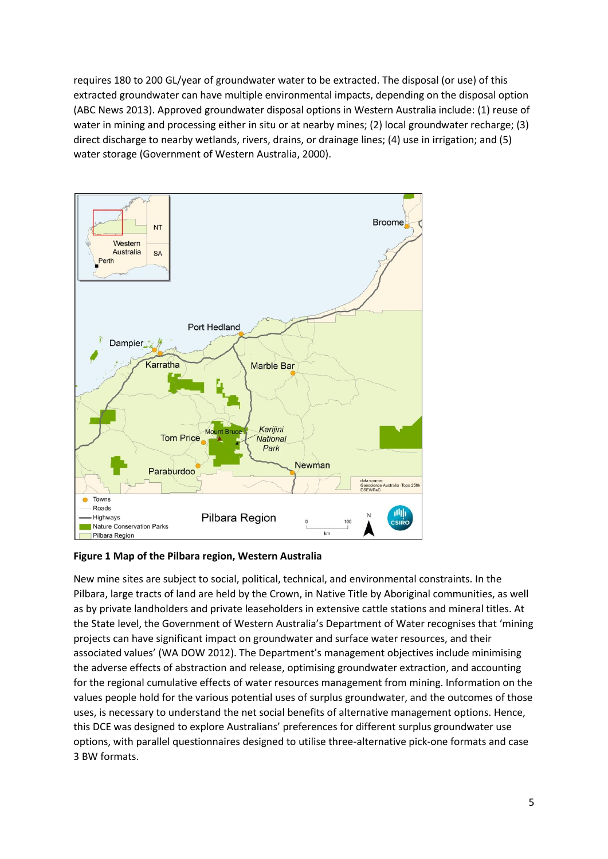requires 180 to 200 GL/year of groundwater water to be extracted. The disposal (or use) of this extracted groundwater can have multiple environmental impacts, depending on the disposal option (ABC News 2013). Approved groundwater disposal options in Western Australia include: (1) reuse of water in mining and processing either in situ or at nearby mines; (2) local groundwater recharge; (3) direct discharge to nearby wetlands, rivers, drains, or drainage lines; (4) use in irrigation; and (5) water storage (Government of Western Australia, 2000).



**Figure 1 Map of the Pilbara region, Western Australia**

New mine sites are subject to social, political, technical, and environmental constraints. In the Pilbara, large tracts of land are held by the Crown, in Native Title by Aboriginal communities, as well as by private landholders and private leaseholders in extensive cattle stations and mineral titles. At the State level, the Government of Western Australia's Department of Water recognises that 'mining projects can have significant impact on groundwater and surface water resources, and their associated values' (WA DOW 2012). The Department's management objectives include minimising the adverse effects of abstraction and release, optimising groundwater extraction, and accounting for the regional cumulative effects of water resources management from mining. Information on the values people hold for the various potential uses of surplus groundwater, and the outcomes of those uses, is necessary to understand the net social benefits of alternative management options. Hence, this DCE was designed to explore Australians' preferences for different surplus groundwater use options, with parallel questionnaires designed to utilise three-alternative pick-one formats and case 3 BW formats.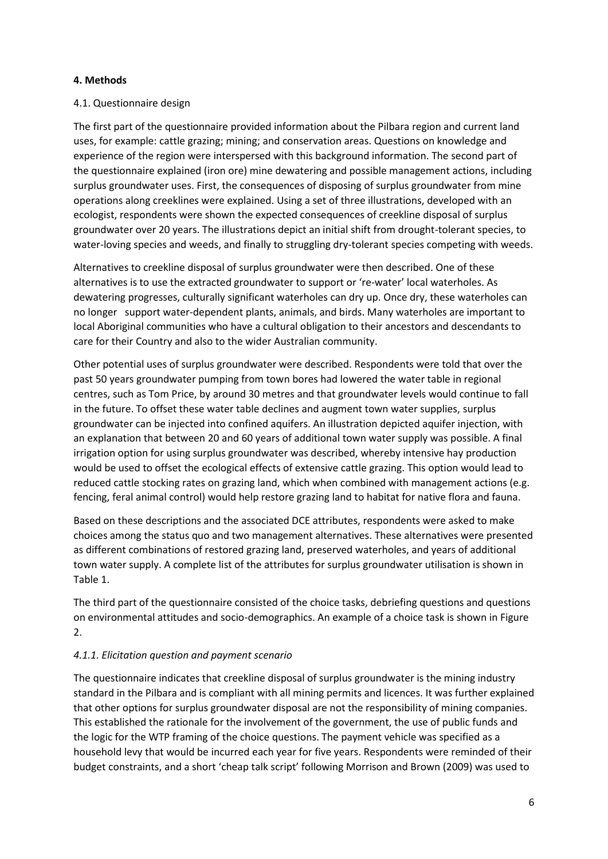## **4. Methods**

## 4.1. Questionnaire design

The first part of the questionnaire provided information about the Pilbara region and current land uses, for example: cattle grazing; mining; and conservation areas. Questions on knowledge and experience of the region were interspersed with this background information. The second part of the questionnaire explained (iron ore) mine dewatering and possible management actions, including surplus groundwater uses. First, the consequences of disposing of surplus groundwater from mine operations along creeklines were explained. Using a set of three illustrations, developed with an ecologist, respondents were shown the expected consequences of creekline disposal of surplus groundwater over 20 years. The illustrations depict an initial shift from drought-tolerant species, to water-loving species and weeds, and finally to struggling dry-tolerant species competing with weeds.

Alternatives to creekline disposal of surplus groundwater were then described. One of these alternatives is to use the extracted groundwater to support or 're-water' local waterholes. As dewatering progresses, culturally significant waterholes can dry up. Once dry, these waterholes can no longer support water-dependent plants, animals, and birds. Many waterholes are important to local Aboriginal communities who have a cultural obligation to their ancestors and descendants to care for their Country and also to the wider Australian community.

Other potential uses of surplus groundwater were described. Respondents were told that over the past 50 years groundwater pumping from town bores had lowered the water table in regional centres, such as Tom Price, by around 30 metres and that groundwater levels would continue to fall in the future. To offset these water table declines and augment town water supplies, surplus groundwater can be injected into confined aquifers. An illustration depicted aquifer injection, with an explanation that between 20 and 60 years of additional town water supply was possible. A final irrigation option for using surplus groundwater was described, whereby intensive hay production would be used to offset the ecological effects of extensive cattle grazing. This option would lead to reduced cattle stocking rates on grazing land, which when combined with management actions (e.g. fencing, feral animal control) would help restore grazing land to habitat for native flora and fauna.

Based on these descriptions and the associated DCE attributes, respondents were asked to make choices among the status quo and two management alternatives. These alternatives were presented as different combinations of restored grazing land, preserved waterholes, and years of additional town water supply. A complete list of the attributes for surplus groundwater utilisation is shown in Table 1.

The third part of the questionnaire consisted of the choice tasks, debriefing questions and questions on environmental attitudes and socio-demographics. An example of a choice task is shown in Figure 2.

# *4.1.1. Elicitation question and payment scenario*

The questionnaire indicates that creekline disposal of surplus groundwater is the mining industry standard in the Pilbara and is compliant with all mining permits and licences. It was further explained that other options for surplus groundwater disposal are not the responsibility of mining companies. This established the rationale for the involvement of the government, the use of public funds and the logic for the WTP framing of the choice questions. The payment vehicle was specified as a household levy that would be incurred each year for five years. Respondents were reminded of their budget constraints, and a short 'cheap talk script' following Morrison and Brown (2009) was used to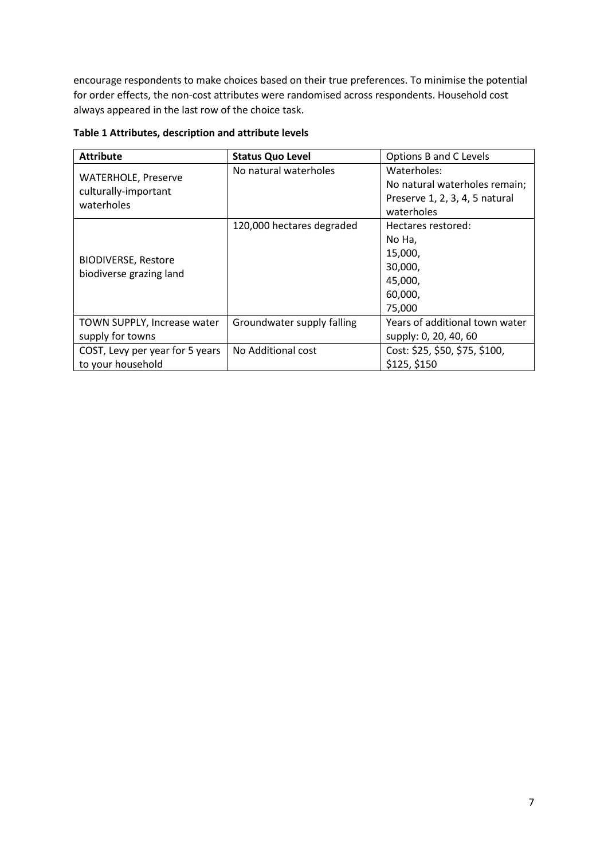encourage respondents to make choices based on their true preferences. To minimise the potential for order effects, the non-cost attributes were randomised across respondents. Household cost always appeared in the last row of the choice task.

| <b>Attribute</b>                                                 | <b>Status Quo Level</b>    | <b>Options B and C Levels</b>                                                                |
|------------------------------------------------------------------|----------------------------|----------------------------------------------------------------------------------------------|
| <b>WATERHOLE, Preserve</b><br>culturally-important<br>waterholes | No natural waterholes      | Waterholes:<br>No natural waterholes remain;<br>Preserve 1, 2, 3, 4, 5 natural<br>waterholes |
| <b>BIODIVERSE, Restore</b><br>biodiverse grazing land            | 120,000 hectares degraded  | Hectares restored:<br>No Ha,<br>15,000,<br>30,000,<br>45,000,<br>60,000,<br>75,000           |
| TOWN SUPPLY, Increase water<br>supply for towns                  | Groundwater supply falling | Years of additional town water<br>supply: 0, 20, 40, 60                                      |
| COST, Levy per year for 5 years<br>to your household             | No Additional cost         | Cost: \$25, \$50, \$75, \$100,<br>\$125, \$150                                               |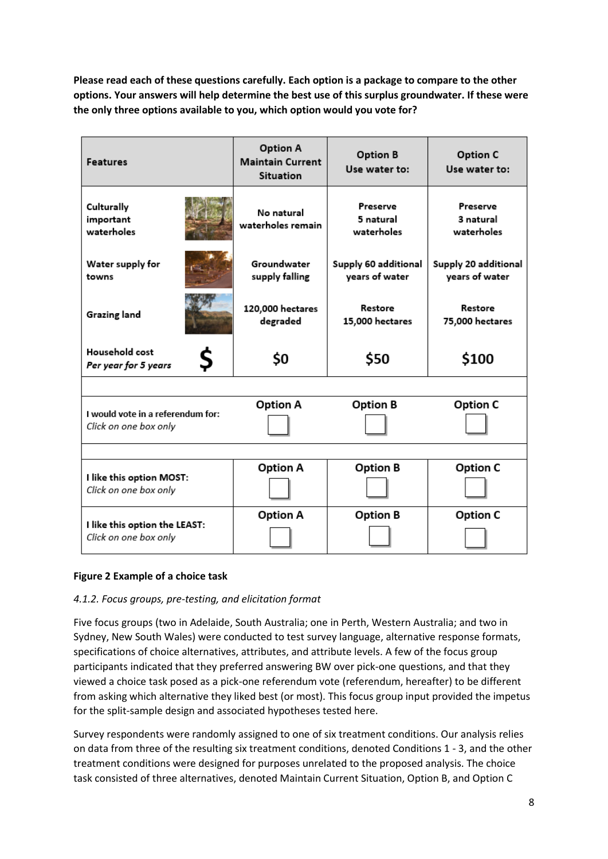**Please read each of these questions carefully. Each option is a package to compare to the other options. Your answers will help determine the best use of this surplus groundwater. If these were the only three options available to you, which option would you vote for?** 

| <b>Features</b>                                            | <b>Option A</b><br><b>Maintain Current</b><br><b>Situation</b> | <b>Option B</b><br>Use water to:       | <b>Option C</b><br>Use water to:       |  |
|------------------------------------------------------------|----------------------------------------------------------------|----------------------------------------|----------------------------------------|--|
| Culturally<br>important<br>waterholes                      | No natural<br>waterholes remain                                | Preserve<br>5 natural<br>waterholes    | Preserve<br>3 natural<br>waterholes    |  |
| Water supply for<br>towns                                  | Groundwater<br>supply falling                                  | Supply 60 additional<br>years of water | Supply 20 additional<br>years of water |  |
| <b>Grazing land</b>                                        | 120,000 hectares<br>degraded                                   | Restore<br>15,000 hectares             | Restore<br>75,000 hectares             |  |
| Household cost<br>\$<br>Per year for 5 years               | \$0                                                            | \$50                                   |                                        |  |
|                                                            |                                                                |                                        |                                        |  |
| I would vote in a referendum for:<br>Click on one box only | <b>Option A</b>                                                | <b>Option B</b>                        | Option C                               |  |
|                                                            |                                                                |                                        |                                        |  |
| I like this option MOST:<br>Click on one box only          | <b>Option A</b>                                                | <b>Option B</b>                        | Option C                               |  |
| I like this option the LEAST:<br>Click on one box only     | <b>Option A</b>                                                | <b>Option B</b>                        | Option C                               |  |

# **Figure 2 Example of a choice task**

# *4.1.2. Focus groups, pre-testing, and elicitation format*

Five focus groups (two in Adelaide, South Australia; one in Perth, Western Australia; and two in Sydney, New South Wales) were conducted to test survey language, alternative response formats, specifications of choice alternatives, attributes, and attribute levels. A few of the focus group participants indicated that they preferred answering BW over pick-one questions, and that they viewed a choice task posed as a pick-one referendum vote (referendum, hereafter) to be different from asking which alternative they liked best (or most). This focus group input provided the impetus for the split-sample design and associated hypotheses tested here.

Survey respondents were randomly assigned to one of six treatment conditions. Our analysis relies on data from three of the resulting six treatment conditions, denoted Conditions 1 - 3, and the other treatment conditions were designed for purposes unrelated to the proposed analysis. The choice task consisted of three alternatives, denoted Maintain Current Situation, Option B, and Option C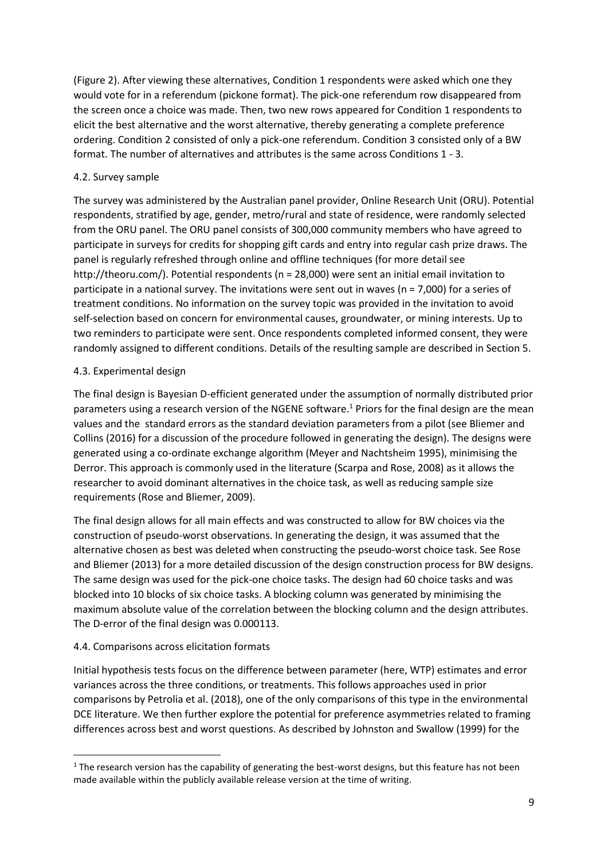(Figure 2). After viewing these alternatives, Condition 1 respondents were asked which one they would vote for in a referendum (pickone format). The pick-one referendum row disappeared from the screen once a choice was made. Then, two new rows appeared for Condition 1 respondents to elicit the best alternative and the worst alternative, thereby generating a complete preference ordering. Condition 2 consisted of only a pick-one referendum. Condition 3 consisted only of a BW format. The number of alternatives and attributes is the same across Conditions 1 - 3.

# 4.2. Survey sample

The survey was administered by the Australian panel provider, Online Research Unit (ORU). Potential respondents, stratified by age, gender, metro/rural and state of residence, were randomly selected from the ORU panel. The ORU panel consists of 300,000 community members who have agreed to participate in surveys for credits for shopping gift cards and entry into regular cash prize draws. The panel is regularly refreshed through online and offline techniques (for more detail see http://theoru.com/). Potential respondents (n = 28,000) were sent an initial email invitation to participate in a national survey. The invitations were sent out in waves ( $n = 7,000$ ) for a series of treatment conditions. No information on the survey topic was provided in the invitation to avoid self-selection based on concern for environmental causes, groundwater, or mining interests. Up to two reminders to participate were sent. Once respondents completed informed consent, they were randomly assigned to different conditions. Details of the resulting sample are described in Section 5.

# 4.3. Experimental design

The final design is Bayesian D-efficient generated under the assumption of normally distributed prior parameters using a research version of the NGENE software.<sup>1</sup> Priors for the final design are the mean values and the standard errors as the standard deviation parameters from a pilot (see Bliemer and Collins (2016) for a discussion of the procedure followed in generating the design). The designs were generated using a co-ordinate exchange algorithm (Meyer and Nachtsheim 1995), minimising the Derror. This approach is commonly used in the literature (Scarpa and Rose, 2008) as it allows the researcher to avoid dominant alternatives in the choice task, as well as reducing sample size requirements (Rose and Bliemer, 2009).

The final design allows for all main effects and was constructed to allow for BW choices via the construction of pseudo-worst observations. In generating the design, it was assumed that the alternative chosen as best was deleted when constructing the pseudo-worst choice task. See Rose and Bliemer (2013) for a more detailed discussion of the design construction process for BW designs. The same design was used for the pick-one choice tasks. The design had 60 choice tasks and was blocked into 10 blocks of six choice tasks. A blocking column was generated by minimising the maximum absolute value of the correlation between the blocking column and the design attributes. The D-error of the final design was 0.000113.

# 4.4. Comparisons across elicitation formats

1

Initial hypothesis tests focus on the difference between parameter (here, WTP) estimates and error variances across the three conditions, or treatments. This follows approaches used in prior comparisons by Petrolia et al. (2018), one of the only comparisons of this type in the environmental DCE literature. We then further explore the potential for preference asymmetries related to framing differences across best and worst questions. As described by Johnston and Swallow (1999) for the

 $1$  The research version has the capability of generating the best-worst designs, but this feature has not been made available within the publicly available release version at the time of writing.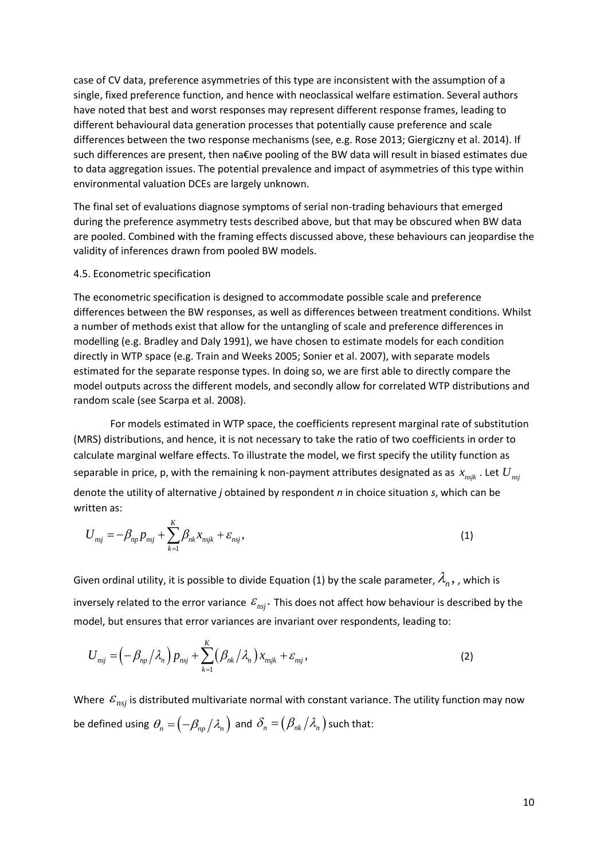case of CV data, preference asymmetries of this type are inconsistent with the assumption of a single, fixed preference function, and hence with neoclassical welfare estimation. Several authors have noted that best and worst responses may represent different response frames, leading to different behavioural data generation processes that potentially cause preference and scale differences between the two response mechanisms (see, e.g. Rose 2013; Giergiczny et al. 2014). If such differences are present, then na€ıve pooling of the BW data will result in biased estimates due to data aggregation issues. The potential prevalence and impact of asymmetries of this type within environmental valuation DCEs are largely unknown.

The final set of evaluations diagnose symptoms of serial non-trading behaviours that emerged during the preference asymmetry tests described above, but that may be obscured when BW data are pooled. Combined with the framing effects discussed above, these behaviours can jeopardise the validity of inferences drawn from pooled BW models.

#### 4.5. Econometric specification

The econometric specification is designed to accommodate possible scale and preference differences between the BW responses, as well as differences between treatment conditions. Whilst a number of methods exist that allow for the untangling of scale and preference differences in modelling (e.g. Bradley and Daly 1991), we have chosen to estimate models for each condition directly in WTP space (e.g. Train and Weeks 2005; Sonier et al. 2007), with separate models estimated for the separate response types. In doing so, we are first able to directly compare the model outputs across the different models, and secondly allow for correlated WTP distributions and random scale (see Scarpa et al. 2008).

For models estimated in WTP space, the coefficients represent marginal rate of substitution (MRS) distributions, and hence, it is not necessary to take the ratio of two coefficients in order to calculate marginal welfare effects. To illustrate the model, we first specify the utility function as separable in price, p, with the remaining k non-payment attributes designated as as  $x_{_{nsjk}}$  . Let  $U_{_{nsj}}$ denote the utility of alternative *j* obtained by respondent *n* in choice situation *s*, which can be written as:

$$
U_{nsj} = -\beta_{np} p_{nsj} + \sum_{k=1}^{K} \beta_{nk} x_{nsjk} + \varepsilon_{nsj},
$$
\n(1)

Given ordinal utility, it is possible to divide Equation (1) by the scale parameter,  $\lambda_n^{}$  , , which is inversely related to the error variance  $\mathcal{E}_{nsj}$ . This does not affect how behaviour is described by the model, but ensures that error variances are invariant over respondents, leading to:

$$
U_{nsj} = \left(-\beta_{np}/\lambda_n\right) p_{nsj} + \sum_{k=1}^{K} \left(\beta_{nk}/\lambda_n\right) x_{nsjk} + \varepsilon_{nsj},\tag{2}
$$

Where  $\mathcal{E}_{nsj}$  is distributed multivariate normal with constant variance. The utility function may now be defined using  $\varTheta_n=\left(-\beta_{_{np}}/\lambda_n\right)$  and  $\delta_n=\left(\beta_{_{nk}}/\lambda_{_n}\right)$  such that: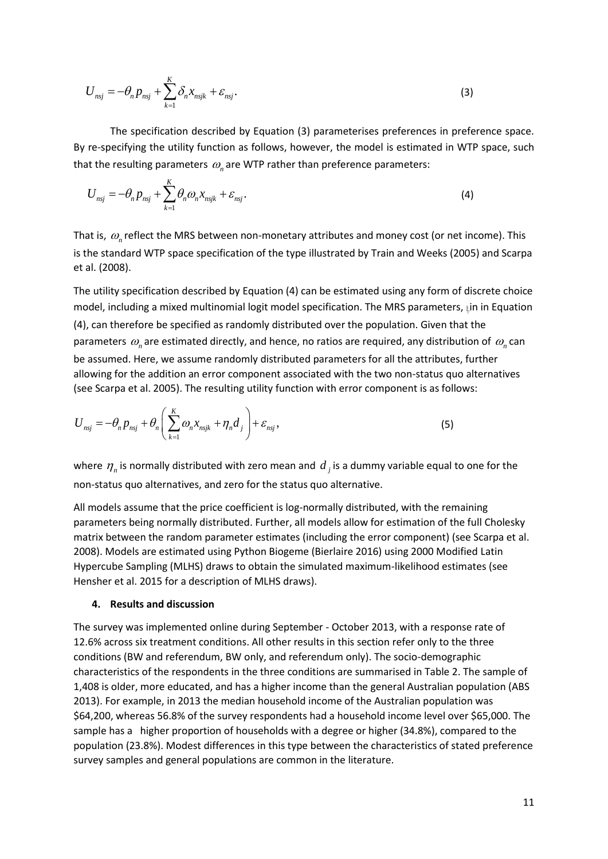$$
U_{nsj} = -\theta_n p_{nsj} + \sum_{k=1}^{K} \delta_n x_{nsjk} + \varepsilon_{nsj}.
$$
\n(3)

The specification described by Equation (3) parameterises preferences in preference space. By re-specifying the utility function as follows, however, the model is estimated in WTP space, such that the resulting parameters  $\omega_{\scriptscriptstyle n}$  are WTP rather than preference parameters:

$$
U_{nsj} = -\theta_n p_{nsj} + \sum_{k=1}^K \theta_n \omega_n x_{nsjk} + \varepsilon_{nsj}.
$$
\n(4)

That is,  $\omega_n$  reflect the MRS between non-monetary attributes and money cost (or net income). This is the standard WTP space specification of the type illustrated by Train and Weeks (2005) and Scarpa et al. (2008).

The utility specification described by Equation (4) can be estimated using any form of discrete choice model, including a mixed multinomial logit model specification. The MRS parameters, <sub>l,</sub>in in Equation (4), can therefore be specified as randomly distributed over the population. Given that the parameters  $\omega_n$  are estimated directly, and hence, no ratios are required, any distribution of  $\omega_n$  can be assumed. Here, we assume randomly distributed parameters for all the attributes, further allowing for the addition an error component associated with the two non-status quo alternatives (see Scarpa et al. 2005). The resulting utility function with error component is as follows:

$$
U_{nsj} = -\theta_n p_{nsj} + \theta_n \left( \sum_{k=1}^K \omega_n x_{nsjk} + \eta_n d_j \right) + \varepsilon_{nsj},
$$
\n(5)

where  $\eta_n$  is normally distributed with zero mean and  $d_j$  is a dummy variable equal to one for the non-status quo alternatives, and zero for the status quo alternative.

All models assume that the price coefficient is log-normally distributed, with the remaining parameters being normally distributed. Further, all models allow for estimation of the full Cholesky matrix between the random parameter estimates (including the error component) (see Scarpa et al. 2008). Models are estimated using Python Biogeme (Bierlaire 2016) using 2000 Modified Latin Hypercube Sampling (MLHS) draws to obtain the simulated maximum-likelihood estimates (see Hensher et al. 2015 for a description of MLHS draws).

#### **4. Results and discussion**

The survey was implemented online during September - October 2013, with a response rate of 12.6% across six treatment conditions. All other results in this section refer only to the three conditions (BW and referendum, BW only, and referendum only). The socio-demographic characteristics of the respondents in the three conditions are summarised in Table 2. The sample of 1,408 is older, more educated, and has a higher income than the general Australian population (ABS 2013). For example, in 2013 the median household income of the Australian population was \$64,200, whereas 56.8% of the survey respondents had a household income level over \$65,000. The sample has a higher proportion of households with a degree or higher (34.8%), compared to the population (23.8%). Modest differences in this type between the characteristics of stated preference survey samples and general populations are common in the literature.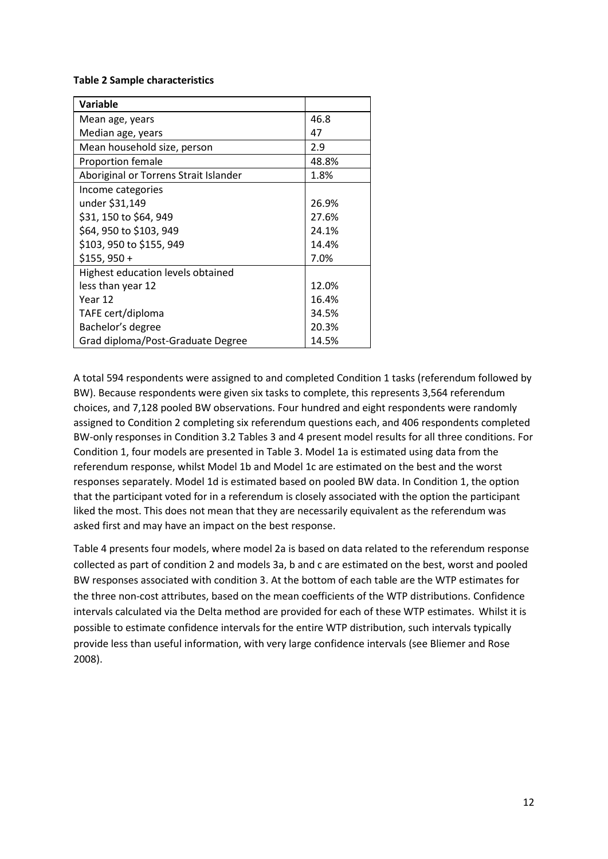#### **Table 2 Sample characteristics**

| <b>Variable</b>                       |       |
|---------------------------------------|-------|
| Mean age, years                       | 46.8  |
| Median age, years                     | 47    |
| Mean household size, person           | 2.9   |
| Proportion female                     | 48.8% |
| Aboriginal or Torrens Strait Islander | 1.8%  |
| Income categories                     |       |
| under \$31,149                        | 26.9% |
| \$31, 150 to \$64, 949                | 27.6% |
| \$64, 950 to \$103, 949               | 24.1% |
| \$103, 950 to \$155, 949              | 14.4% |
| $$155,950+$                           | 7.0%  |
| Highest education levels obtained     |       |
| less than year 12                     | 12.0% |
| Year 12                               | 16.4% |
| TAFE cert/diploma                     | 34.5% |
| Bachelor's degree                     | 20.3% |
| Grad diploma/Post-Graduate Degree     | 14.5% |

A total 594 respondents were assigned to and completed Condition 1 tasks (referendum followed by BW). Because respondents were given six tasks to complete, this represents 3,564 referendum choices, and 7,128 pooled BW observations. Four hundred and eight respondents were randomly assigned to Condition 2 completing six referendum questions each, and 406 respondents completed BW-only responses in Condition 3.2 Tables 3 and 4 present model results for all three conditions. For Condition 1, four models are presented in Table 3. Model 1a is estimated using data from the referendum response, whilst Model 1b and Model 1c are estimated on the best and the worst responses separately. Model 1d is estimated based on pooled BW data. In Condition 1, the option that the participant voted for in a referendum is closely associated with the option the participant liked the most. This does not mean that they are necessarily equivalent as the referendum was asked first and may have an impact on the best response.

Table 4 presents four models, where model 2a is based on data related to the referendum response collected as part of condition 2 and models 3a, b and c are estimated on the best, worst and pooled BW responses associated with condition 3. At the bottom of each table are the WTP estimates for the three non-cost attributes, based on the mean coefficients of the WTP distributions. Confidence intervals calculated via the Delta method are provided for each of these WTP estimates. Whilst it is possible to estimate confidence intervals for the entire WTP distribution, such intervals typically provide less than useful information, with very large confidence intervals (see Bliemer and Rose 2008).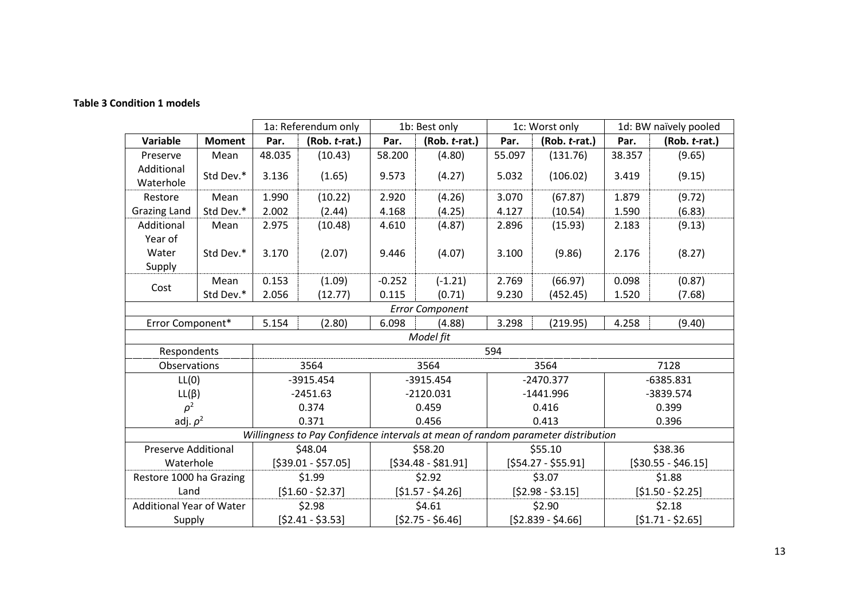## **Table 3 Condition 1 models**

|                                                  |                                  | 1a: Referendum only<br>1b: Best only<br>1c: Worst only |                     | 1d: BW naïvely pooled |                                                                                  |                   |                     |                   |                 |
|--------------------------------------------------|----------------------------------|--------------------------------------------------------|---------------------|-----------------------|----------------------------------------------------------------------------------|-------------------|---------------------|-------------------|-----------------|
| Variable                                         | <b>Moment</b>                    | Par.                                                   | $(Rob. t-rat.)$     | Par.                  | $(Rob. t-rat.)$                                                                  | Par.              | (Rob. t-rat.)       | Par.              | $(Rob. t-rat.)$ |
| Preserve                                         | Mean                             | 48.035                                                 | (10.43)             | 58.200                | (4.80)                                                                           | 55.097            | (131.76)            | 38.357            | (9.65)          |
| Additional<br>Waterhole                          | Std Dev.*                        | 3.136                                                  | (1.65)              | 9.573                 | (4.27)                                                                           | 5.032             | (106.02)            | 3.419             | (9.15)          |
| Restore                                          | Mean                             | 1.990                                                  | (10.22)             | 2.920                 | (4.26)                                                                           | 3.070             | (67.87)             | 1.879             | (9.72)          |
| <b>Grazing Land</b>                              | Std Dev.*                        | 2.002                                                  | (2.44)              | 4.168                 | (4.25)                                                                           | 4.127             | (10.54)             | 1.590             | (6.83)          |
| Additional                                       | Mean                             | 2.975                                                  | (10.48)             | 4.610                 | (4.87)                                                                           | 2.896             | (15.93)             | 2.183             | (9.13)          |
| Year of<br>Water                                 | Std Dev.*                        | 3.170                                                  | (2.07)              | 9.446                 | (4.07)                                                                           | 3.100             | (9.86)              | 2.176             | (8.27)          |
| Supply                                           |                                  |                                                        |                     |                       |                                                                                  |                   |                     |                   |                 |
| Cost                                             | Mean                             | 0.153                                                  | (1.09)              | $-0.252$              | $(-1.21)$                                                                        | 2.769             | (66.97)             | 0.098             | (0.87)          |
|                                                  | Std Dev.*                        | 2.056                                                  | (12.77)             | 0.115                 | (0.71)                                                                           | 9.230             | (452.45)            | 1.520             | (7.68)          |
|                                                  |                                  |                                                        |                     |                       | <b>Error Component</b>                                                           |                   |                     |                   |                 |
| Error Component*                                 |                                  | 5.154                                                  | (2.80)              | 6.098                 | (4.88)                                                                           | 3.298             | (219.95)            | 4.258             | (9.40)          |
|                                                  |                                  |                                                        |                     |                       | Model fit                                                                        |                   |                     |                   |                 |
| Respondents                                      |                                  |                                                        |                     |                       |                                                                                  | 594               |                     |                   |                 |
| Observations                                     |                                  |                                                        | 3564                |                       | 3564                                                                             |                   | 3564                |                   | 7128            |
| LL(0)                                            |                                  |                                                        | $-3915.454$         |                       | $-3915.454$                                                                      |                   | $-2470.377$         |                   | $-6385.831$     |
| $LL(\beta)$                                      |                                  |                                                        | $-2451.63$          |                       | $-2120.031$                                                                      |                   | $-1441.996$         | -3839.574         |                 |
| $\rho^2$                                         |                                  |                                                        | 0.374               |                       | 0.459                                                                            |                   | 0.416               | 0.399             |                 |
| adj. $\rho^2$                                    |                                  |                                                        | 0.371               |                       | 0.456                                                                            | 0.413             |                     | 0.396             |                 |
|                                                  |                                  |                                                        |                     |                       | Willingness to Pay Confidence intervals at mean of random parameter distribution |                   |                     |                   |                 |
| \$48.04<br><b>Preserve Additional</b>            |                                  | \$58.20                                                |                     | \$55.10               |                                                                                  | \$38.36           |                     |                   |                 |
|                                                  | Waterhole<br>$[$39.01 - $57.05]$ |                                                        | $[$34.48 - $81.91]$ |                       | $[$54.27 - $55.91]$                                                              |                   | $[$30.55 - $46.15]$ |                   |                 |
| Restore 1000 ha Grazing                          |                                  |                                                        | \$1.99              | \$2.92                |                                                                                  | \$3.07            |                     | \$1.88            |                 |
| Land                                             |                                  |                                                        | $[$1.60 - $2.37]$   | $[$1.57 - $4.26]$     |                                                                                  | $[$2.98 - $3.15]$ |                     | $[$1.50 - $2.25]$ |                 |
| <b>Additional Year of Water</b>                  |                                  |                                                        | \$2.98              | \$4.61                |                                                                                  | \$2.90            |                     | \$2.18            |                 |
| $[$2.75 - $6.46]$<br>$[$2.41 - $3.53]$<br>Supply |                                  |                                                        | $[$2.839 - $4.66]$  |                       | $[$1.71 - $2.65]$                                                                |                   |                     |                   |                 |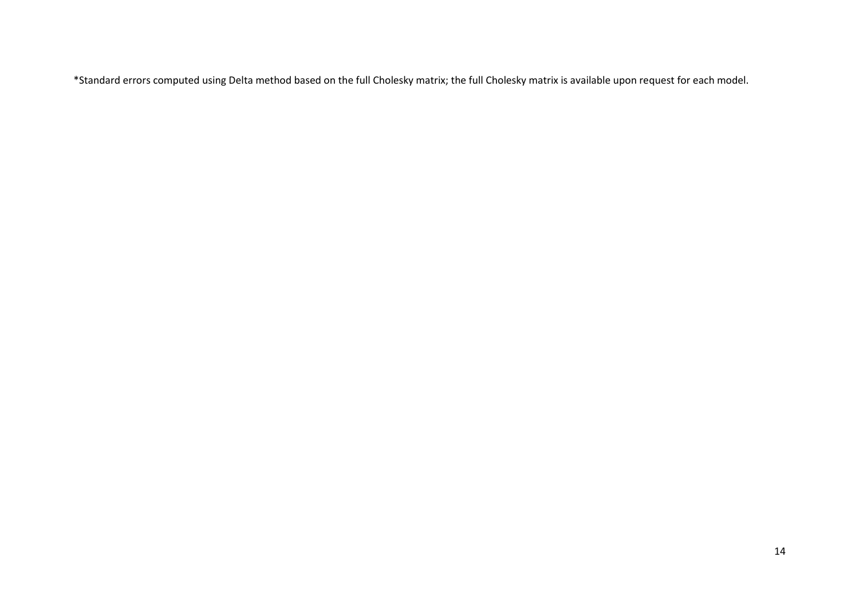\*Standard errors computed using Delta method based on the full Cholesky matrix; the full Cholesky matrix is available upon request for each model.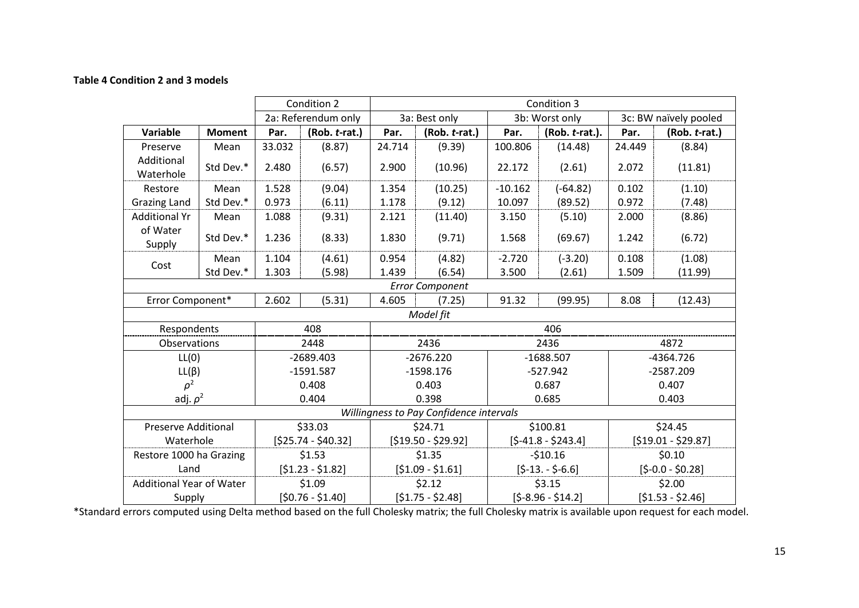# **Table 4 Condition 2 and 3 models**

|                                       |                                         |                                         | Condition 2         | Condition 3         |                                 |                     |                  |                       |                 |
|---------------------------------------|-----------------------------------------|-----------------------------------------|---------------------|---------------------|---------------------------------|---------------------|------------------|-----------------------|-----------------|
|                                       |                                         |                                         | 2a: Referendum only |                     | 3b: Worst only<br>3a: Best only |                     |                  | 3c: BW naïvely pooled |                 |
| Variable                              | <b>Moment</b>                           | Par.                                    | $(Rob. t-rat.)$     | Par.                | $(Rob. t-rat.)$                 | Par.                | $(Rob. t-rat.).$ | Par.                  | $(Rob. t-rat.)$ |
| Preserve                              | Mean                                    | 33.032                                  | (8.87)              | 24.714              | (9.39)                          | 100.806             | (14.48)          | 24.449                | (8.84)          |
| Additional<br>Waterhole               | Std Dev.*                               | 2.480                                   | (6.57)              | 2.900               | (10.96)                         | 22.172              | (2.61)           | 2.072                 | (11.81)         |
| Restore                               | Mean                                    | 1.528                                   | (9.04)              | 1.354               | (10.25)                         | $-10.162$           | $(-64.82)$       | 0.102                 | (1.10)          |
| <b>Grazing Land</b>                   | Std Dev.*                               | 0.973                                   | (6.11)              | 1.178               | (9.12)                          | 10.097              | (89.52)          | 0.972                 | (7.48)          |
| <b>Additional Yr</b>                  | Mean                                    | 1.088                                   | (9.31)              | 2.121               | (11.40)                         | 3.150               | (5.10)           | 2.000                 | (8.86)          |
| of Water<br>Supply                    | Std Dev.*                               | 1.236                                   | (8.33)              | 1.830               | (9.71)                          | 1.568               | (69.67)          | 1.242                 | (6.72)          |
| Cost                                  | Mean                                    | 1.104                                   | (4.61)              | 0.954               | (4.82)                          | $-2.720$            | $(-3.20)$        | 0.108                 | (1.08)          |
|                                       | Std Dev.*                               | 1.303                                   | (5.98)              | 1.439               | (6.54)                          | 3.500               | (2.61)           | 1.509                 | (11.99)         |
|                                       |                                         |                                         |                     |                     | <b>Error Component</b>          |                     |                  |                       |                 |
| Error Component*                      |                                         | 2.602                                   | (5.31)              | 4.605               | (7.25)                          | 91.32               | (99.95)          | 8.08                  | (12.43)         |
|                                       |                                         |                                         |                     |                     | Model fit                       |                     |                  |                       |                 |
| Respondents                           |                                         |                                         | 408                 |                     |                                 |                     | 406              |                       |                 |
| Observations                          |                                         |                                         | 2448                |                     | 2436                            |                     | 2436             |                       | 4872            |
| LL(0)                                 |                                         |                                         | $-2689.403$         |                     | $-2676.220$                     |                     | $-1688.507$      |                       | -4364.726       |
| $LL(\beta)$                           |                                         |                                         | $-1591.587$         |                     | $-1598.176$                     |                     | $-527.942$       | $-2587.209$           |                 |
| $\rho^2$                              |                                         |                                         | 0.408               |                     | 0.403                           |                     | 0.687            | 0.407                 |                 |
| adj. $\rho^2$                         |                                         |                                         | 0.404               |                     | 0.398                           |                     | 0.685            | 0.403                 |                 |
|                                       | Willingness to Pay Confidence intervals |                                         |                     |                     |                                 |                     |                  |                       |                 |
| \$33.03<br><b>Preserve Additional</b> |                                         | \$24.71                                 |                     | \$100.81            |                                 | \$24.45             |                  |                       |                 |
| Waterhole                             | $[$25.74 - $40.32]$                     |                                         |                     | $[$19.50 - $29.92]$ |                                 | $[$-41.8 - $243.4]$ |                  | $[$19.01 - $29.87]$   |                 |
|                                       | \$1.53<br>Restore 1000 ha Grazing       |                                         | \$1.35              |                     | $-510.16$                       |                     | \$0.10           |                       |                 |
| Land                                  |                                         |                                         | $[$1.23 - $1.82]$   | $[$1.09 - $1.61]$   |                                 | $[$-13. - $-6.6]$   |                  | $[$-0.0 - $0.28]$     |                 |
| <b>Additional Year of Water</b>       |                                         |                                         | \$1.09              |                     | \$2.12                          | \$3.15              |                  | \$2.00                |                 |
| $[$0.76 - $1.40]$<br>Supply           |                                         | $[$1.75 - $2.48]$<br>$[$-8.96 - $14.2]$ |                     | $[$1.53 - $2.46]$   |                                 |                     |                  |                       |                 |

\*Standard errors computed using Delta method based on the full Cholesky matrix; the full Cholesky matrix is available upon request for each model.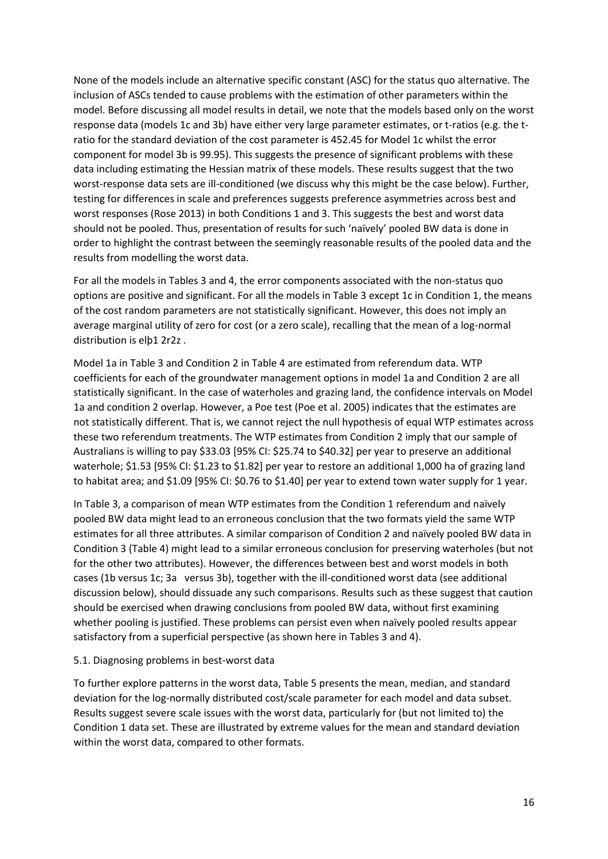None of the models include an alternative specific constant (ASC) for the status quo alternative. The inclusion of ASCs tended to cause problems with the estimation of other parameters within the model. Before discussing all model results in detail, we note that the models based only on the worst response data (models 1c and 3b) have either very large parameter estimates, or t-ratios (e.g. the tratio for the standard deviation of the cost parameter is 452.45 for Model 1c whilst the error component for model 3b is 99.95). This suggests the presence of significant problems with these data including estimating the Hessian matrix of these models. These results suggest that the two worst-response data sets are ill-conditioned (we discuss why this might be the case below). Further, testing for differences in scale and preferences suggests preference asymmetries across best and worst responses (Rose 2013) in both Conditions 1 and 3. This suggests the best and worst data should not be pooled. Thus, presentation of results for such 'naïvely' pooled BW data is done in order to highlight the contrast between the seemingly reasonable results of the pooled data and the results from modelling the worst data.

For all the models in Tables 3 and 4, the error components associated with the non-status quo options are positive and significant. For all the models in Table 3 except 1c in Condition 1, the means of the cost random parameters are not statistically significant. However, this does not imply an average marginal utility of zero for cost (or a zero scale), recalling that the mean of a log-normal distribution is elþ1 2r2z .

Model 1a in Table 3 and Condition 2 in Table 4 are estimated from referendum data. WTP coefficients for each of the groundwater management options in model 1a and Condition 2 are all statistically significant. In the case of waterholes and grazing land, the confidence intervals on Model 1a and condition 2 overlap. However, a Poe test (Poe et al. 2005) indicates that the estimates are not statistically different. That is, we cannot reject the null hypothesis of equal WTP estimates across these two referendum treatments. The WTP estimates from Condition 2 imply that our sample of Australians is willing to pay \$33.03 [95% CI: \$25.74 to \$40.32] per year to preserve an additional waterhole; \$1.53 [95% CI: \$1.23 to \$1.82] per year to restore an additional 1,000 ha of grazing land to habitat area; and \$1.09 [95% CI: \$0.76 to \$1.40] per year to extend town water supply for 1 year.

In Table 3, a comparison of mean WTP estimates from the Condition 1 referendum and naïvely pooled BW data might lead to an erroneous conclusion that the two formats yield the same WTP estimates for all three attributes. A similar comparison of Condition 2 and naïvely pooled BW data in Condition 3 (Table 4) might lead to a similar erroneous conclusion for preserving waterholes (but not for the other two attributes). However, the differences between best and worst models in both cases (1b versus 1c; 3a versus 3b), together with the ill-conditioned worst data (see additional discussion below), should dissuade any such comparisons. Results such as these suggest that caution should be exercised when drawing conclusions from pooled BW data, without first examining whether pooling is justified. These problems can persist even when naïvely pooled results appear satisfactory from a superficial perspective (as shown here in Tables 3 and 4).

## 5.1. Diagnosing problems in best-worst data

To further explore patterns in the worst data, Table 5 presents the mean, median, and standard deviation for the log-normally distributed cost/scale parameter for each model and data subset. Results suggest severe scale issues with the worst data, particularly for (but not limited to) the Condition 1 data set. These are illustrated by extreme values for the mean and standard deviation within the worst data, compared to other formats.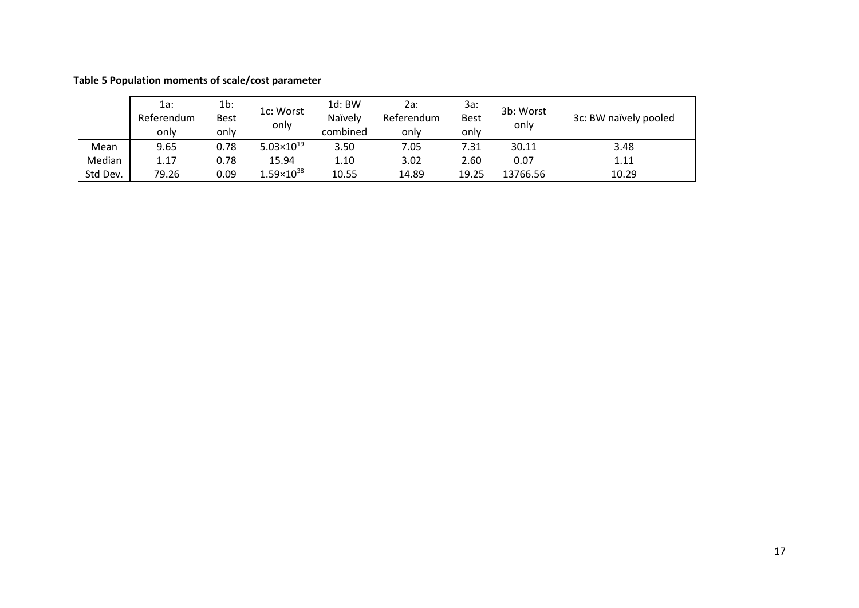**Table 5 Population moments of scale/cost parameter** 

|          | 1a:<br>Referendum<br>only | $1b$ :<br><b>Best</b><br>only | 1c: Worst<br>only     | 1d:BW<br>Naïvely<br>combined | 2a:<br>Referendum<br>onlv | За:<br><b>Best</b><br>only | 3b: Worst<br>only | 3c: BW naïvely pooled |
|----------|---------------------------|-------------------------------|-----------------------|------------------------------|---------------------------|----------------------------|-------------------|-----------------------|
| Mean     | 9.65                      | 0.78                          | $5.03 \times 10^{19}$ | 3.50                         | 7.05                      | 7.31                       | 30.11             | 3.48                  |
| Median   | 1.17                      | 0.78                          | 15.94                 | 1.10                         | 3.02                      | 2.60                       | 0.07              | 1.11                  |
| Std Dev. | 79.26                     | 0.09                          | $1.59\times10^{38}$   | 10.55                        | 14.89                     | 19.25                      | 13766.56          | 10.29                 |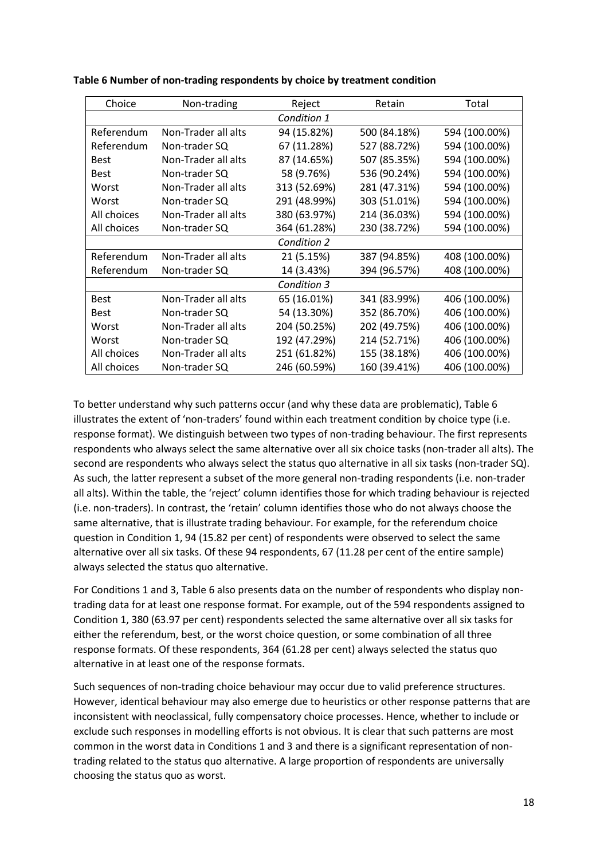| Choice      | Non-trading         | Reject<br>Retain |              | Total         |
|-------------|---------------------|------------------|--------------|---------------|
|             |                     | Condition 1      |              |               |
| Referendum  | Non-Trader all alts | 94 (15.82%)      | 500 (84.18%) | 594 (100.00%) |
| Referendum  | Non-trader SQ       | 67 (11.28%)      | 527 (88.72%) | 594 (100.00%) |
| Best        | Non-Trader all alts | 87 (14.65%)      | 507 (85.35%) | 594 (100.00%) |
| <b>Best</b> | Non-trader SQ       | 58 (9.76%)       | 536 (90.24%) | 594 (100.00%) |
| Worst       | Non-Trader all alts | 313 (52.69%)     | 281 (47.31%) | 594 (100.00%) |
| Worst       | Non-trader SQ       | 291 (48.99%)     | 303 (51.01%) | 594 (100.00%) |
| All choices | Non-Trader all alts | 380 (63.97%)     | 214 (36.03%) | 594 (100.00%) |
| All choices | Non-trader SQ       | 364 (61.28%)     | 230 (38.72%) | 594 (100.00%) |
|             |                     | Condition 2      |              |               |
| Referendum  | Non-Trader all alts | 21 (5.15%)       | 387 (94.85%) | 408 (100.00%) |
| Referendum  | Non-trader SQ       | 14 (3.43%)       | 394 (96.57%) | 408 (100.00%) |
|             |                     | Condition 3      |              |               |
| <b>Best</b> | Non-Trader all alts | 65 (16.01%)      | 341 (83.99%) | 406 (100.00%) |
| <b>Best</b> | Non-trader SQ       | 54 (13.30%)      | 352 (86.70%) | 406 (100.00%) |
| Worst       | Non-Trader all alts | 204 (50.25%)     | 202 (49.75%) | 406 (100.00%) |
| Worst       | Non-trader SQ       | 192 (47.29%)     | 214 (52.71%) | 406 (100.00%) |
| All choices | Non-Trader all alts | 251 (61.82%)     | 155 (38.18%) | 406 (100.00%) |
| All choices | Non-trader SQ       | 246 (60.59%)     | 160 (39.41%) | 406 (100.00%) |

**Table 6 Number of non-trading respondents by choice by treatment condition**

To better understand why such patterns occur (and why these data are problematic), Table 6 illustrates the extent of 'non-traders' found within each treatment condition by choice type (i.e. response format). We distinguish between two types of non-trading behaviour. The first represents respondents who always select the same alternative over all six choice tasks (non-trader all alts). The second are respondents who always select the status quo alternative in all six tasks (non-trader SQ). As such, the latter represent a subset of the more general non-trading respondents (i.e. non-trader all alts). Within the table, the 'reject' column identifies those for which trading behaviour is rejected (i.e. non-traders). In contrast, the 'retain' column identifies those who do not always choose the same alternative, that is illustrate trading behaviour. For example, for the referendum choice question in Condition 1, 94 (15.82 per cent) of respondents were observed to select the same alternative over all six tasks. Of these 94 respondents, 67 (11.28 per cent of the entire sample) always selected the status quo alternative.

For Conditions 1 and 3, Table 6 also presents data on the number of respondents who display nontrading data for at least one response format. For example, out of the 594 respondents assigned to Condition 1, 380 (63.97 per cent) respondents selected the same alternative over all six tasks for either the referendum, best, or the worst choice question, or some combination of all three response formats. Of these respondents, 364 (61.28 per cent) always selected the status quo alternative in at least one of the response formats.

Such sequences of non-trading choice behaviour may occur due to valid preference structures. However, identical behaviour may also emerge due to heuristics or other response patterns that are inconsistent with neoclassical, fully compensatory choice processes. Hence, whether to include or exclude such responses in modelling efforts is not obvious. It is clear that such patterns are most common in the worst data in Conditions 1 and 3 and there is a significant representation of nontrading related to the status quo alternative. A large proportion of respondents are universally choosing the status quo as worst.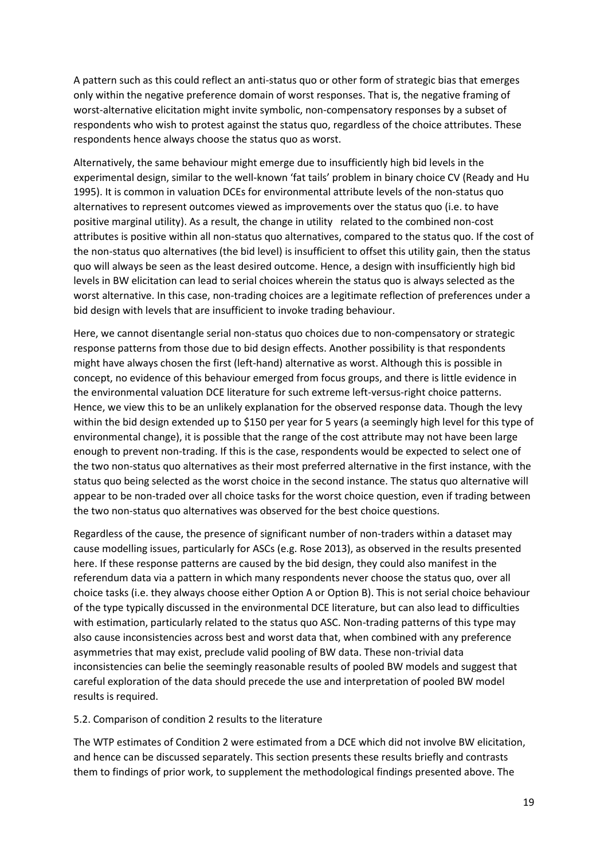A pattern such as this could reflect an anti-status quo or other form of strategic bias that emerges only within the negative preference domain of worst responses. That is, the negative framing of worst-alternative elicitation might invite symbolic, non-compensatory responses by a subset of respondents who wish to protest against the status quo, regardless of the choice attributes. These respondents hence always choose the status quo as worst.

Alternatively, the same behaviour might emerge due to insufficiently high bid levels in the experimental design, similar to the well-known 'fat tails' problem in binary choice CV (Ready and Hu 1995). It is common in valuation DCEs for environmental attribute levels of the non-status quo alternatives to represent outcomes viewed as improvements over the status quo (i.e. to have positive marginal utility). As a result, the change in utility related to the combined non-cost attributes is positive within all non-status quo alternatives, compared to the status quo. If the cost of the non-status quo alternatives (the bid level) is insufficient to offset this utility gain, then the status quo will always be seen as the least desired outcome. Hence, a design with insufficiently high bid levels in BW elicitation can lead to serial choices wherein the status quo is always selected as the worst alternative. In this case, non-trading choices are a legitimate reflection of preferences under a bid design with levels that are insufficient to invoke trading behaviour.

Here, we cannot disentangle serial non-status quo choices due to non-compensatory or strategic response patterns from those due to bid design effects. Another possibility is that respondents might have always chosen the first (left-hand) alternative as worst. Although this is possible in concept, no evidence of this behaviour emerged from focus groups, and there is little evidence in the environmental valuation DCE literature for such extreme left-versus-right choice patterns. Hence, we view this to be an unlikely explanation for the observed response data. Though the levy within the bid design extended up to \$150 per year for 5 years (a seemingly high level for this type of environmental change), it is possible that the range of the cost attribute may not have been large enough to prevent non-trading. If this is the case, respondents would be expected to select one of the two non-status quo alternatives as their most preferred alternative in the first instance, with the status quo being selected as the worst choice in the second instance. The status quo alternative will appear to be non-traded over all choice tasks for the worst choice question, even if trading between the two non-status quo alternatives was observed for the best choice questions.

Regardless of the cause, the presence of significant number of non-traders within a dataset may cause modelling issues, particularly for ASCs (e.g. Rose 2013), as observed in the results presented here. If these response patterns are caused by the bid design, they could also manifest in the referendum data via a pattern in which many respondents never choose the status quo, over all choice tasks (i.e. they always choose either Option A or Option B). This is not serial choice behaviour of the type typically discussed in the environmental DCE literature, but can also lead to difficulties with estimation, particularly related to the status quo ASC. Non-trading patterns of this type may also cause inconsistencies across best and worst data that, when combined with any preference asymmetries that may exist, preclude valid pooling of BW data. These non-trivial data inconsistencies can belie the seemingly reasonable results of pooled BW models and suggest that careful exploration of the data should precede the use and interpretation of pooled BW model results is required.

## 5.2. Comparison of condition 2 results to the literature

The WTP estimates of Condition 2 were estimated from a DCE which did not involve BW elicitation, and hence can be discussed separately. This section presents these results briefly and contrasts them to findings of prior work, to supplement the methodological findings presented above. The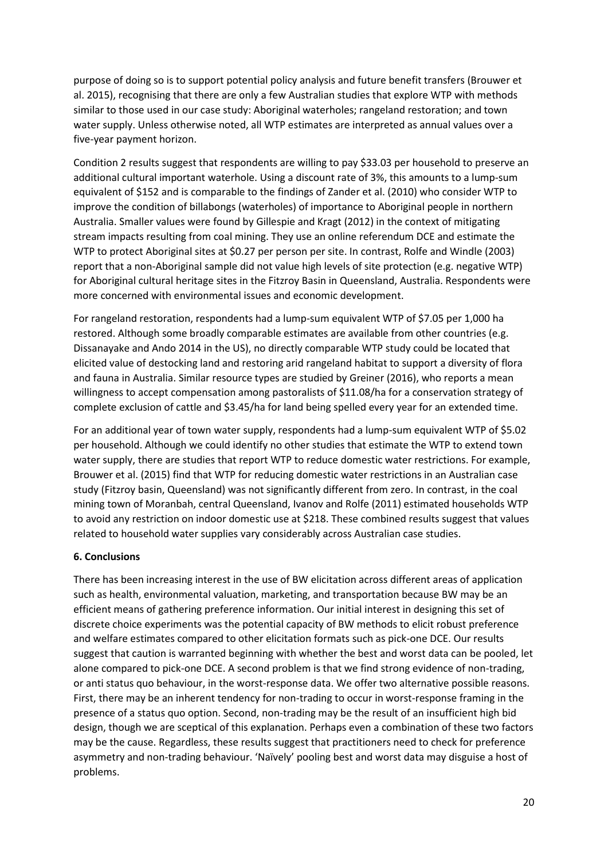purpose of doing so is to support potential policy analysis and future benefit transfers (Brouwer et al. 2015), recognising that there are only a few Australian studies that explore WTP with methods similar to those used in our case study: Aboriginal waterholes; rangeland restoration; and town water supply. Unless otherwise noted, all WTP estimates are interpreted as annual values over a five-year payment horizon.

Condition 2 results suggest that respondents are willing to pay \$33.03 per household to preserve an additional cultural important waterhole. Using a discount rate of 3%, this amounts to a lump-sum equivalent of \$152 and is comparable to the findings of Zander et al. (2010) who consider WTP to improve the condition of billabongs (waterholes) of importance to Aboriginal people in northern Australia. Smaller values were found by Gillespie and Kragt (2012) in the context of mitigating stream impacts resulting from coal mining. They use an online referendum DCE and estimate the WTP to protect Aboriginal sites at \$0.27 per person per site. In contrast, Rolfe and Windle (2003) report that a non-Aboriginal sample did not value high levels of site protection (e.g. negative WTP) for Aboriginal cultural heritage sites in the Fitzroy Basin in Queensland, Australia. Respondents were more concerned with environmental issues and economic development.

For rangeland restoration, respondents had a lump-sum equivalent WTP of \$7.05 per 1,000 ha restored. Although some broadly comparable estimates are available from other countries (e.g. Dissanayake and Ando 2014 in the US), no directly comparable WTP study could be located that elicited value of destocking land and restoring arid rangeland habitat to support a diversity of flora and fauna in Australia. Similar resource types are studied by Greiner (2016), who reports a mean willingness to accept compensation among pastoralists of \$11.08/ha for a conservation strategy of complete exclusion of cattle and \$3.45/ha for land being spelled every year for an extended time.

For an additional year of town water supply, respondents had a lump-sum equivalent WTP of \$5.02 per household. Although we could identify no other studies that estimate the WTP to extend town water supply, there are studies that report WTP to reduce domestic water restrictions. For example, Brouwer et al. (2015) find that WTP for reducing domestic water restrictions in an Australian case study (Fitzroy basin, Queensland) was not significantly different from zero. In contrast, in the coal mining town of Moranbah, central Queensland, Ivanov and Rolfe (2011) estimated households WTP to avoid any restriction on indoor domestic use at \$218. These combined results suggest that values related to household water supplies vary considerably across Australian case studies.

# **6. Conclusions**

There has been increasing interest in the use of BW elicitation across different areas of application such as health, environmental valuation, marketing, and transportation because BW may be an efficient means of gathering preference information. Our initial interest in designing this set of discrete choice experiments was the potential capacity of BW methods to elicit robust preference and welfare estimates compared to other elicitation formats such as pick-one DCE. Our results suggest that caution is warranted beginning with whether the best and worst data can be pooled, let alone compared to pick-one DCE. A second problem is that we find strong evidence of non-trading, or anti status quo behaviour, in the worst-response data. We offer two alternative possible reasons. First, there may be an inherent tendency for non-trading to occur in worst-response framing in the presence of a status quo option. Second, non-trading may be the result of an insufficient high bid design, though we are sceptical of this explanation. Perhaps even a combination of these two factors may be the cause. Regardless, these results suggest that practitioners need to check for preference asymmetry and non-trading behaviour. 'Naïvely' pooling best and worst data may disguise a host of problems.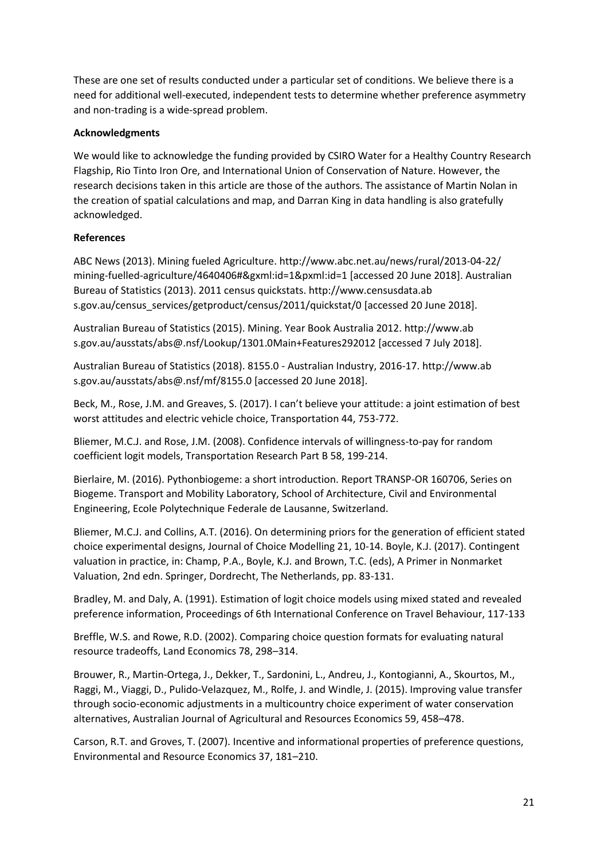These are one set of results conducted under a particular set of conditions. We believe there is a need for additional well-executed, independent tests to determine whether preference asymmetry and non-trading is a wide-spread problem.

## **Acknowledgments**

We would like to acknowledge the funding provided by CSIRO Water for a Healthy Country Research Flagship, Rio Tinto Iron Ore, and International Union of Conservation of Nature. However, the research decisions taken in this article are those of the authors. The assistance of Martin Nolan in the creation of spatial calculations and map, and Darran King in data handling is also gratefully acknowledged.

## **References**

ABC News (2013). Mining fueled Agriculture. http://www.abc.net.au/news/rural/2013-04-22/ mining-fuelled-agriculture/4640406#&gxml:id=1&pxml:id=1 [accessed 20 June 2018]. Australian Bureau of Statistics (2013). 2011 census quickstats. http://www.censusdata.ab s.gov.au/census\_services/getproduct/census/2011/quickstat/0 [accessed 20 June 2018].

Australian Bureau of Statistics (2015). Mining. Year Book Australia 2012. http://www.ab s.gov.au/ausstats/abs@.nsf/Lookup/1301.0Main+Features292012 [accessed 7 July 2018].

Australian Bureau of Statistics (2018). 8155.0 - Australian Industry, 2016-17. http://www.ab s.gov.au/ausstats/abs@.nsf/mf/8155.0 [accessed 20 June 2018].

Beck, M., Rose, J.M. and Greaves, S. (2017). I can't believe your attitude: a joint estimation of best worst attitudes and electric vehicle choice, Transportation 44, 753-772.

Bliemer, M.C.J. and Rose, J.M. (2008). Confidence intervals of willingness-to-pay for random coefficient logit models, Transportation Research Part B 58, 199-214.

Bierlaire, M. (2016). Pythonbiogeme: a short introduction. Report TRANSP-OR 160706, Series on Biogeme. Transport and Mobility Laboratory, School of Architecture, Civil and Environmental Engineering, Ecole Polytechnique Federale de Lausanne, Switzerland.

Bliemer, M.C.J. and Collins, A.T. (2016). On determining priors for the generation of efficient stated choice experimental designs, Journal of Choice Modelling 21, 10-14. Boyle, K.J. (2017). Contingent valuation in practice, in: Champ, P.A., Boyle, K.J. and Brown, T.C. (eds), A Primer in Nonmarket Valuation, 2nd edn. Springer, Dordrecht, The Netherlands, pp. 83-131.

Bradley, M. and Daly, A. (1991). Estimation of logit choice models using mixed stated and revealed preference information, Proceedings of 6th International Conference on Travel Behaviour, 117-133

Breffle, W.S. and Rowe, R.D. (2002). Comparing choice question formats for evaluating natural resource tradeoffs, Land Economics 78, 298–314.

Brouwer, R., Martin-Ortega, J., Dekker, T., Sardonini, L., Andreu, J., Kontogianni, A., Skourtos, M., Raggi, M., Viaggi, D., Pulido-Velazquez, M., Rolfe, J. and Windle, J. (2015). Improving value transfer through socio-economic adjustments in a multicountry choice experiment of water conservation alternatives, Australian Journal of Agricultural and Resources Economics 59, 458–478.

Carson, R.T. and Groves, T. (2007). Incentive and informational properties of preference questions, Environmental and Resource Economics 37, 181–210.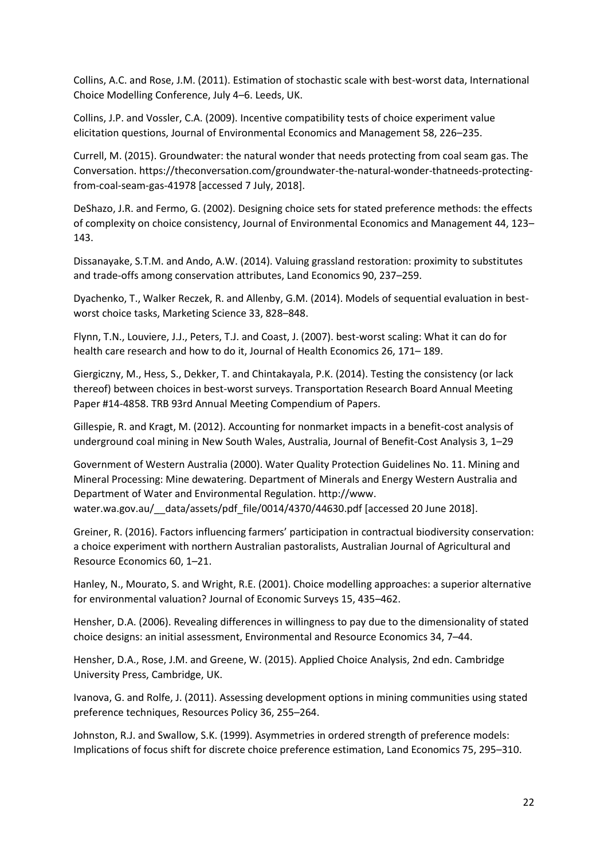Collins, A.C. and Rose, J.M. (2011). Estimation of stochastic scale with best-worst data, International Choice Modelling Conference, July 4–6. Leeds, UK.

Collins, J.P. and Vossler, C.A. (2009). Incentive compatibility tests of choice experiment value elicitation questions, Journal of Environmental Economics and Management 58, 226–235.

Currell, M. (2015). Groundwater: the natural wonder that needs protecting from coal seam gas. The Conversation. https://theconversation.com/groundwater-the-natural-wonder-thatneeds-protectingfrom-coal-seam-gas-41978 [accessed 7 July, 2018].

DeShazo, J.R. and Fermo, G. (2002). Designing choice sets for stated preference methods: the effects of complexity on choice consistency, Journal of Environmental Economics and Management 44, 123– 143.

Dissanayake, S.T.M. and Ando, A.W. (2014). Valuing grassland restoration: proximity to substitutes and trade-offs among conservation attributes, Land Economics 90, 237–259.

Dyachenko, T., Walker Reczek, R. and Allenby, G.M. (2014). Models of sequential evaluation in bestworst choice tasks, Marketing Science 33, 828–848.

Flynn, T.N., Louviere, J.J., Peters, T.J. and Coast, J. (2007). best-worst scaling: What it can do for health care research and how to do it, Journal of Health Economics 26, 171– 189.

Giergiczny, M., Hess, S., Dekker, T. and Chintakayala, P.K. (2014). Testing the consistency (or lack thereof) between choices in best-worst surveys. Transportation Research Board Annual Meeting Paper #14-4858. TRB 93rd Annual Meeting Compendium of Papers.

Gillespie, R. and Kragt, M. (2012). Accounting for nonmarket impacts in a benefit-cost analysis of underground coal mining in New South Wales, Australia, Journal of Benefit-Cost Analysis 3, 1–29

Government of Western Australia (2000). Water Quality Protection Guidelines No. 11. Mining and Mineral Processing: Mine dewatering. Department of Minerals and Energy Western Australia and Department of Water and Environmental Regulation. http://www. water.wa.gov.au/\_\_data/assets/pdf\_file/0014/4370/44630.pdf [accessed 20 June 2018].

Greiner, R. (2016). Factors influencing farmers' participation in contractual biodiversity conservation: a choice experiment with northern Australian pastoralists, Australian Journal of Agricultural and Resource Economics 60, 1–21.

Hanley, N., Mourato, S. and Wright, R.E. (2001). Choice modelling approaches: a superior alternative for environmental valuation? Journal of Economic Surveys 15, 435–462.

Hensher, D.A. (2006). Revealing differences in willingness to pay due to the dimensionality of stated choice designs: an initial assessment, Environmental and Resource Economics 34, 7–44.

Hensher, D.A., Rose, J.M. and Greene, W. (2015). Applied Choice Analysis, 2nd edn. Cambridge University Press, Cambridge, UK.

Ivanova, G. and Rolfe, J. (2011). Assessing development options in mining communities using stated preference techniques, Resources Policy 36, 255–264.

Johnston, R.J. and Swallow, S.K. (1999). Asymmetries in ordered strength of preference models: Implications of focus shift for discrete choice preference estimation, Land Economics 75, 295–310.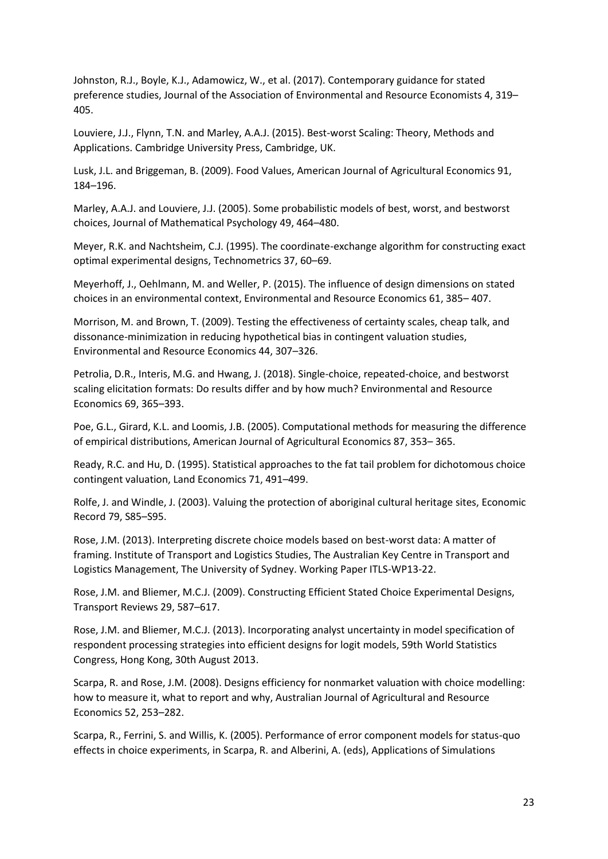Johnston, R.J., Boyle, K.J., Adamowicz, W., et al. (2017). Contemporary guidance for stated preference studies, Journal of the Association of Environmental and Resource Economists 4, 319– 405.

Louviere, J.J., Flynn, T.N. and Marley, A.A.J. (2015). Best-worst Scaling: Theory, Methods and Applications. Cambridge University Press, Cambridge, UK.

Lusk, J.L. and Briggeman, B. (2009). Food Values, American Journal of Agricultural Economics 91, 184–196.

Marley, A.A.J. and Louviere, J.J. (2005). Some probabilistic models of best, worst, and bestworst choices, Journal of Mathematical Psychology 49, 464–480.

Meyer, R.K. and Nachtsheim, C.J. (1995). The coordinate-exchange algorithm for constructing exact optimal experimental designs, Technometrics 37, 60–69.

Meyerhoff, J., Oehlmann, M. and Weller, P. (2015). The influence of design dimensions on stated choices in an environmental context, Environmental and Resource Economics 61, 385– 407.

Morrison, M. and Brown, T. (2009). Testing the effectiveness of certainty scales, cheap talk, and dissonance-minimization in reducing hypothetical bias in contingent valuation studies, Environmental and Resource Economics 44, 307–326.

Petrolia, D.R., Interis, M.G. and Hwang, J. (2018). Single-choice, repeated-choice, and bestworst scaling elicitation formats: Do results differ and by how much? Environmental and Resource Economics 69, 365–393.

Poe, G.L., Girard, K.L. and Loomis, J.B. (2005). Computational methods for measuring the difference of empirical distributions, American Journal of Agricultural Economics 87, 353– 365.

Ready, R.C. and Hu, D. (1995). Statistical approaches to the fat tail problem for dichotomous choice contingent valuation, Land Economics 71, 491–499.

Rolfe, J. and Windle, J. (2003). Valuing the protection of aboriginal cultural heritage sites, Economic Record 79, S85–S95.

Rose, J.M. (2013). Interpreting discrete choice models based on best-worst data: A matter of framing. Institute of Transport and Logistics Studies, The Australian Key Centre in Transport and Logistics Management, The University of Sydney. Working Paper ITLS-WP13-22.

Rose, J.M. and Bliemer, M.C.J. (2009). Constructing Efficient Stated Choice Experimental Designs, Transport Reviews 29, 587–617.

Rose, J.M. and Bliemer, M.C.J. (2013). Incorporating analyst uncertainty in model specification of respondent processing strategies into efficient designs for logit models, 59th World Statistics Congress, Hong Kong, 30th August 2013.

Scarpa, R. and Rose, J.M. (2008). Designs efficiency for nonmarket valuation with choice modelling: how to measure it, what to report and why, Australian Journal of Agricultural and Resource Economics 52, 253–282.

Scarpa, R., Ferrini, S. and Willis, K. (2005). Performance of error component models for status-quo effects in choice experiments, in Scarpa, R. and Alberini, A. (eds), Applications of Simulations